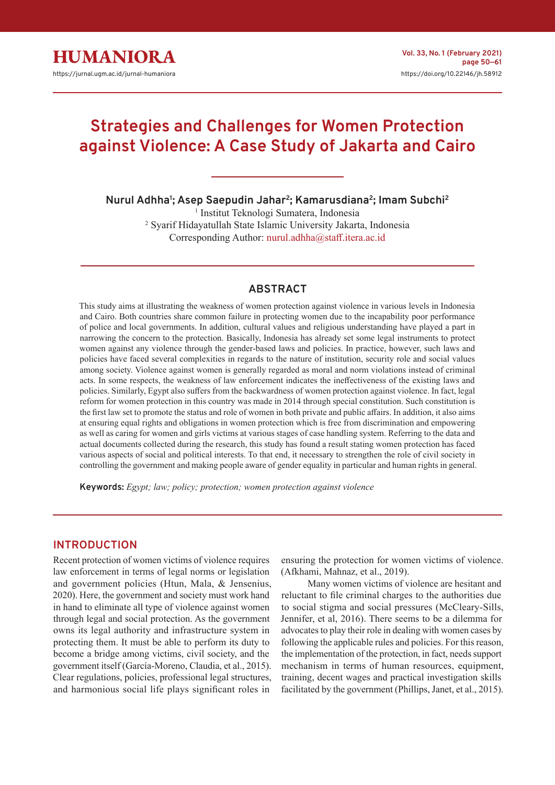

# **Strategies and Challenges for Women Protection against Violence: A Case Study of Jakarta and Cairo**

**Nurul Adhha<sup>1</sup> ; Asep Saepudin Jahar<sup>2</sup> ; Kamarusdiana<sup>2</sup> ; Imam Subchi<sup>2</sup>**

1 Institut Teknologi Sumatera, Indonesia 2 Syarif Hidayatullah State Islamic University Jakarta, Indonesia Corresponding Author: nurul.adhha@staff.itera.ac.id

# **ABSTRACT**

This study aims at illustrating the weakness of women protection against violence in various levels in Indonesia and Cairo. Both countries share common failure in protecting women due to the incapability poor performance of police and local governments. In addition, cultural values and religious understanding have played a part in narrowing the concern to the protection. Basically, Indonesia has already set some legal instruments to protect women against any violence through the gender-based laws and policies. In practice, however, such laws and policies have faced several complexities in regards to the nature of institution, security role and social values among society. Violence against women is generally regarded as moral and norm violations instead of criminal acts. In some respects, the weakness of law enforcement indicates the ineffectiveness of the existing laws and policies. Similarly, Egypt also suffers from the backwardness of women protection against violence. In fact, legal reform for women protection in this country was made in 2014 through special constitution. Such constitution is the first law set to promote the status and role of women in both private and public affairs. In addition, it also aims at ensuring equal rights and obligations in women protection which is free from discrimination and empowering as well as caring for women and girls victims at various stages of case handling system. Referring to the data and actual documents collected during the research, this study has found a result stating women protection has faced various aspects of social and political interests. To that end, it necessary to strengthen the role of civil society in controlling the government and making people aware of gender equality in particular and human rights in general.

**Keywords:** *Egypt; law; policy; protection; women protection against violence*

## **INTRODUCTION**

Recent protection of women victims of violence requires law enforcement in terms of legal norms or legislation and government policies (Htun, Mala, & Jensenius, 2020). Here, the government and society must work hand in hand to eliminate all type of violence against women through legal and social protection. As the government owns its legal authority and infrastructure system in protecting them. It must be able to perform its duty to become a bridge among victims, civil society, and the government itself (García-Moreno, Claudia, et al., 2015). Clear regulations, policies, professional legal structures, and harmonious social life plays significant roles in

ensuring the protection for women victims of violence. (Afkhami, Mahnaz, et al., 2019).

Many women victims of violence are hesitant and reluctant to file criminal charges to the authorities due to social stigma and social pressures (McCleary-Sills, Jennifer, et al, 2016). There seems to be a dilemma for advocates to play their role in dealing with women cases by following the applicable rules and policies. For this reason, the implementation of the protection, in fact, needs support mechanism in terms of human resources, equipment, training, decent wages and practical investigation skills facilitated by the government (Phillips, Janet, et al., 2015).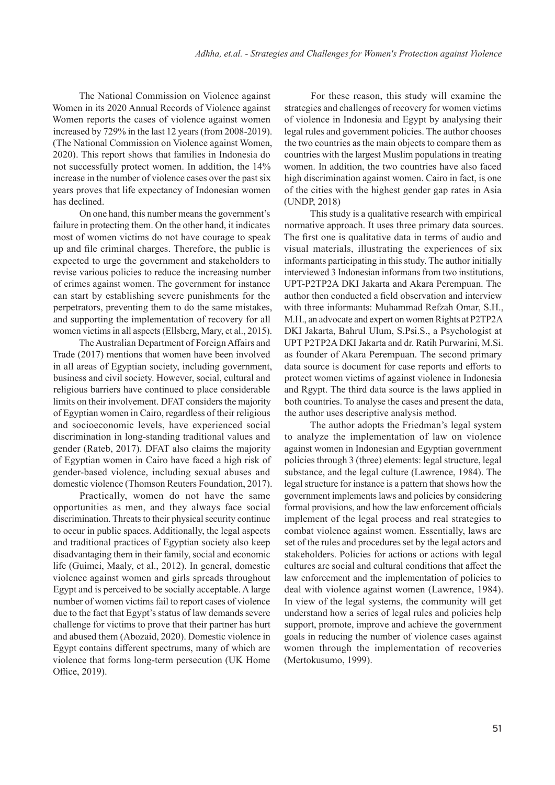The National Commission on Violence against Women in its 2020 Annual Records of Violence against Women reports the cases of violence against women increased by 729% in the last 12 years (from 2008-2019). (The National Commission on Violence against Women, 2020). This report shows that families in Indonesia do not successfully protect women. In addition, the 14% increase in the number of violence cases over the past six years proves that life expectancy of Indonesian women has declined.

On one hand, this number means the government's failure in protecting them. On the other hand, it indicates most of women victims do not have courage to speak up and file criminal charges. Therefore, the public is expected to urge the government and stakeholders to revise various policies to reduce the increasing number of crimes against women. The government for instance can start by establishing severe punishments for the perpetrators, preventing them to do the same mistakes, and supporting the implementation of recovery for all women victims in all aspects (Ellsberg, Mary, et al., 2015).

The Australian Department of Foreign Affairs and Trade (2017) mentions that women have been involved in all areas of Egyptian society, including government, business and civil society. However, social, cultural and religious barriers have continued to place considerable limits on their involvement. DFAT considers the majority of Egyptian women in Cairo, regardless of their religious and socioeconomic levels, have experienced social discrimination in long-standing traditional values and gender (Rateb, 2017). DFAT also claims the majority of Egyptian women in Cairo have faced a high risk of gender-based violence, including sexual abuses and domestic violence (Thomson Reuters Foundation, 2017).

Practically, women do not have the same opportunities as men, and they always face social discrimination. Threats to their physical security continue to occur in public spaces. Additionally, the legal aspects and traditional practices of Egyptian society also keep disadvantaging them in their family, social and economic life (Guimei, Maaly, et al., 2012). In general, domestic violence against women and girls spreads throughout Egypt and is perceived to be socially acceptable. A large number of women victims fail to report cases of violence due to the fact that Egypt's status of law demands severe challenge for victims to prove that their partner has hurt and abused them (Abozaid, 2020). Domestic violence in Egypt contains different spectrums, many of which are violence that forms long-term persecution (UK Home Office, 2019).

For these reason, this study will examine the strategies and challenges of recovery for women victims of violence in Indonesia and Egypt by analysing their legal rules and government policies. The author chooses the two countries as the main objects to compare them as countries with the largest Muslim populations in treating women. In addition, the two countries have also faced high discrimination against women. Cairo in fact, is one of the cities with the highest gender gap rates in Asia (UNDP, 2018)

This study is a qualitative research with empirical normative approach. It uses three primary data sources. The first one is qualitative data in terms of audio and visual materials, illustrating the experiences of six informants participating in this study. The author initially interviewed 3 Indonesian informans from two institutions, UPT-P2TP2A DKI Jakarta and Akara Perempuan. The author then conducted a field observation and interview with three informants: Muhammad Refzah Omar, S.H., M.H., an advocate and expert on women Rights at P2TP2A DKI Jakarta, Bahrul Ulum, S.Psi.S., a Psychologist at UPT P2TP2A DKI Jakarta and dr. Ratih Purwarini, M.Si. as founder of Akara Perempuan. The second primary data source is document for case reports and efforts to protect women victims of against violence in Indonesia and Rgypt. The third data source is the laws applied in both countries. To analyse the cases and present the data, the author uses descriptive analysis method.

The author adopts the Friedman's legal system to analyze the implementation of law on violence against women in Indonesian and Egyptian government policies through 3 (three) elements: legal structure, legal substance, and the legal culture (Lawrence, 1984). The legal structure for instance is a pattern that shows how the government implements laws and policies by considering formal provisions, and how the law enforcement officials implement of the legal process and real strategies to combat violence against women. Essentially, laws are set of the rules and procedures set by the legal actors and stakeholders. Policies for actions or actions with legal cultures are social and cultural conditions that affect the law enforcement and the implementation of policies to deal with violence against women (Lawrence, 1984). In view of the legal systems, the community will get understand how a series of legal rules and policies help support, promote, improve and achieve the government goals in reducing the number of violence cases against women through the implementation of recoveries (Mertokusumo, 1999).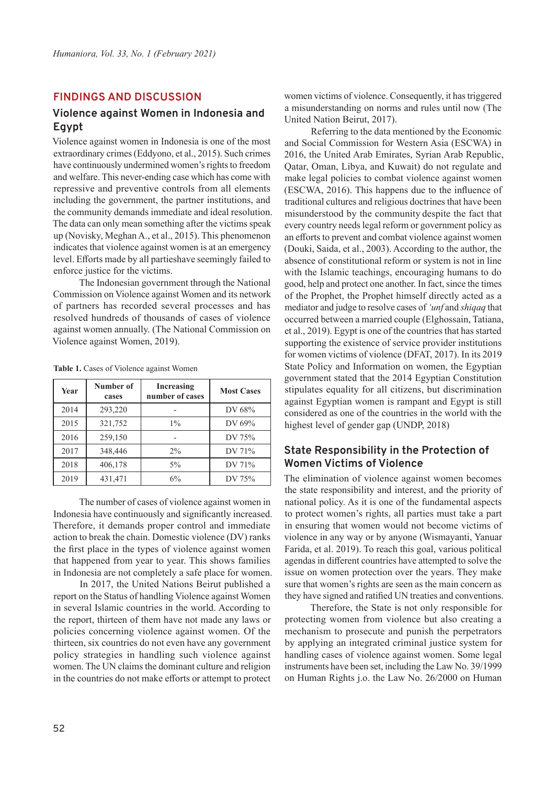## **FINDINGS AND DISCUSSION**

## **Violence against Women in Indonesia and Egypt**

Violence against women in Indonesia is one of the most extraordinary crimes (Eddyono, et al., 2015). Such crimes have continuously undermined women's rights to freedom and welfare. This never-ending case which has come with repressive and preventive controls from all elements including the government, the partner institutions, and the community demands immediate and ideal resolution. The data can only mean something after the victims speak up (Novisky, Meghan A., et al., 2015). This phenomenon indicates that violence against women is at an emergency level. Efforts made by all partieshave seemingly failed to enforce justice for the victims.

The Indonesian government through the National Commission on Violence against Women and its network of partners has recorded several processes and has resolved hundreds of thousands of cases of violence against women annually. (The National Commission on Violence against Women, 2019).

| Year | Number of<br>cases | Increasing<br>number of cases | <b>Most Cases</b> |
|------|--------------------|-------------------------------|-------------------|
| 2014 | 293,220            |                               | DV 68%            |
| 2015 | 321,752            | $1\%$                         | DV 69%            |
| 2016 | 259,150            |                               | DV 75%            |
| 2017 | 348,446            | $2\%$                         | DV 71%            |
| 2018 | 406,178            | $5\%$                         | DV 71%            |
| 2019 | 431,471            | 6%                            | DV 75%            |

**Table 1.** Cases of Violence against Women

The number of cases of violence against women in Indonesia have continuously and significantly increased. Therefore, it demands proper control and immediate action to break the chain. Domestic violence (DV) ranks the first place in the types of violence against women that happened from year to year. This shows families in Indonesia are not completely a safe place for women.

In 2017, the United Nations Beirut published a report on the Status of handling Violence against Women in several Islamic countries in the world. According to the report, thirteen of them have not made any laws or policies concerning violence against women. Of the thirteen, six countries do not even have any government policy strategies in handling such violence against women. The UN claims the dominant culture and religion in the countries do not make efforts or attempt to protect women victims of violence. Consequently, it has triggered a misunderstanding on norms and rules until now (The United Nation Beirut, 2017).

Referring to the data mentioned by the Economic and Social Commission for Western Asia (ESCWA) in 2016, the United Arab Emirates, Syrian Arab Republic, Qatar, Oman, Libya, and Kuwait) do not regulate and make legal policies to combat violence against women (ESCWA, 2016). This happens due to the influence of traditional cultures and religious doctrines that have been misunderstood by the community despite the fact that every country needs legal reform or government policy as an efforts to prevent and combat violence against women (Douki, Saida, et al., 2003). According to the author, the absence of constitutional reform or system is not in line with the Islamic teachings, encouraging humans to do good, help and protect one another. In fact, since the times of the Prophet, the Prophet himself directly acted as a mediator and judge to resolve cases of *'unf* and *shiqaq* that occurred between a married couple (Elghossain, Tatiana, et al., 2019). Egypt is one of the countries that has started supporting the existence of service provider institutions for women victims of violence (DFAT, 2017). In its 2019 State Policy and Information on women, the Egyptian government stated that the 2014 Egyptian Constitution stipulates equality for all citizens, but discrimination against Egyptian women is rampant and Egypt is still considered as one of the countries in the world with the highest level of gender gap (UNDP, 2018)

## **State Responsibility in the Protection of Women Victims of Violence**

The elimination of violence against women becomes the state responsibility and interest, and the priority of national policy. As it is one of the fundamental aspects to protect women's rights, all parties must take a part in ensuring that women would not become victims of violence in any way or by anyone (Wismayanti, Yanuar Farida, et al. 2019). To reach this goal, various political agendas in different countries have attempted to solve the issue on women protection over the years. They make sure that women's rights are seen as the main concern as they have signed and ratified UN treaties and conventions.

Therefore, the State is not only responsible for protecting women from violence but also creating a mechanism to prosecute and punish the perpetrators by applying an integrated criminal justice system for handling cases of violence against women. Some legal instruments have been set, including the Law No. 39/1999 on Human Rights j.o. the Law No. 26/2000 on Human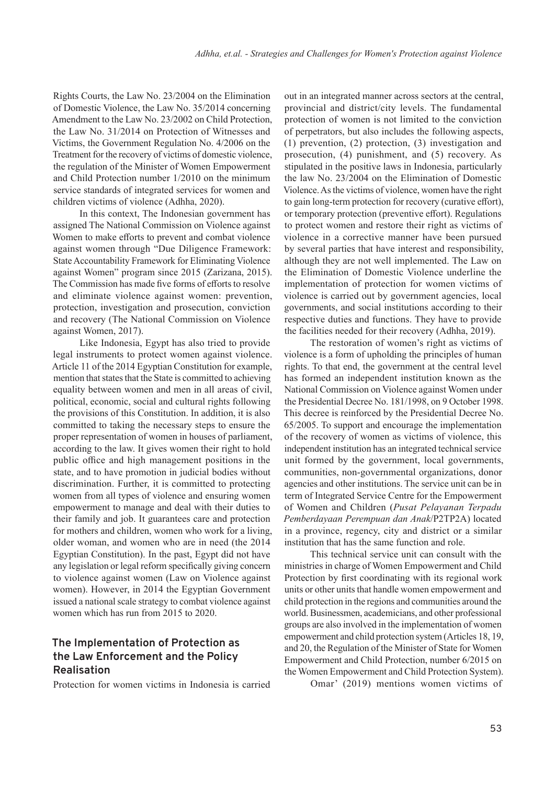Rights Courts, the Law No. 23/2004 on the Elimination of Domestic Violence, the Law No. 35/2014 concerning Amendment to the Law No. 23/2002 on Child Protection, the Law No. 31/2014 on Protection of Witnesses and Victims, the Government Regulation No. 4/2006 on the Treatment for the recovery of victims of domestic violence, the regulation of the Minister of Women Empowerment and Child Protection number 1/2010 on the minimum service standards of integrated services for women and children victims of violence (Adhha, 2020).

In this context, The Indonesian government has assigned The National Commission on Violence against Women to make efforts to prevent and combat violence against women through "Due Diligence Framework: State Accountability Framework for Eliminating Violence against Women" program since 2015 (Zarizana, 2015). The Commission has made five forms of efforts to resolve and eliminate violence against women: prevention, protection, investigation and prosecution, conviction and recovery (The National Commission on Violence against Women, 2017).

Like Indonesia, Egypt has also tried to provide legal instruments to protect women against violence. Article 11 of the 2014 Egyptian Constitution for example, mention that states that the State is committed to achieving equality between women and men in all areas of civil, political, economic, social and cultural rights following the provisions of this Constitution. In addition, it is also committed to taking the necessary steps to ensure the proper representation of women in houses of parliament, according to the law. It gives women their right to hold public office and high management positions in the state, and to have promotion in judicial bodies without discrimination. Further, it is committed to protecting women from all types of violence and ensuring women empowerment to manage and deal with their duties to their family and job. It guarantees care and protection for mothers and children, women who work for a living, older woman, and women who are in need (the 2014 Egyptian Constitution). In the past, Egypt did not have any legislation or legal reform specifically giving concern to violence against women (Law on Violence against women). However, in 2014 the Egyptian Government issued a national scale strategy to combat violence against women which has run from 2015 to 2020.

# **The Implementation of Protection as the Law Enforcement and the Policy Realisation**

Protection for women victims in Indonesia is carried

out in an integrated manner across sectors at the central, provincial and district/city levels. The fundamental protection of women is not limited to the conviction of perpetrators, but also includes the following aspects, (1) prevention, (2) protection, (3) investigation and prosecution, (4) punishment, and (5) recovery. As stipulated in the positive laws in Indonesia, particularly the law No. 23/2004 on the Elimination of Domestic Violence. As the victims of violence, women have the right to gain long-term protection for recovery (curative effort), or temporary protection (preventive effort). Regulations to protect women and restore their right as victims of violence in a corrective manner have been pursued by several parties that have interest and responsibility, although they are not well implemented. The Law on the Elimination of Domestic Violence underline the implementation of protection for women victims of violence is carried out by government agencies, local governments, and social institutions according to their respective duties and functions. They have to provide the facilities needed for their recovery (Adhha, 2019).

The restoration of women's right as victims of violence is a form of upholding the principles of human rights. To that end, the government at the central level has formed an independent institution known as the National Commission on Violence against Women under the Presidential Decree No. 181/1998, on 9 October 1998. This decree is reinforced by the Presidential Decree No. 65/2005. To support and encourage the implementation of the recovery of women as victims of violence, this independent institution has an integrated technical service unit formed by the government, local governments, communities, non-governmental organizations, donor agencies and other institutions. The service unit can be in term of Integrated Service Centre for the Empowerment of Women and Children (*Pusat Pelayanan Terpadu Pemberdayaan Perempuan dan Anak*/P2TP2A) located in a province, regency, city and district or a similar institution that has the same function and role.

This technical service unit can consult with the ministries in charge of Women Empowerment and Child Protection by first coordinating with its regional work units or other units that handle women empowerment and child protection in the regions and communities around the world. Businessmen, academicians, and other professional groups are also involved in the implementation of women empowerment and child protection system (Articles 18, 19, and 20, the Regulation of the Minister of State for Women Empowerment and Child Protection, number 6/2015 on the Women Empowerment and Child Protection System).

Omar' (2019) mentions women victims of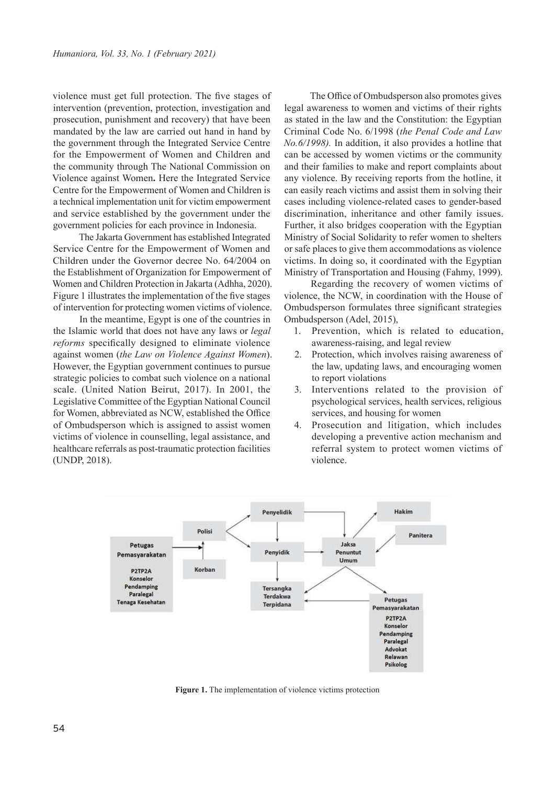violence must get full protection. The five stages of intervention (prevention, protection, investigation and prosecution, punishment and recovery) that have been mandated by the law are carried out hand in hand by the government through the Integrated Service Centre for the Empowerment of Women and Children and the community through The National Commission on Violence against Women**.** Here the Integrated Service Centre for the Empowerment of Women and Children is a technical implementation unit for victim empowerment and service established by the government under the government policies for each province in Indonesia.

The Jakarta Government has established Integrated Service Centre for the Empowerment of Women and Children under the Governor decree No. 64/2004 on the Establishment of Organization for Empowerment of Women and Children Protection in Jakarta (Adhha, 2020). Figure 1 illustrates the implementation of the five stages of intervention for protecting women victims of violence.

In the meantime, Egypt is one of the countries in the Islamic world that does not have any laws or *legal reforms* specifically designed to eliminate violence against women (*the Law on Violence Against Women*). However, the Egyptian government continues to pursue strategic policies to combat such violence on a national scale. (United Nation Beirut, 2017). In 2001, the Legislative Committee of the Egyptian National Council for Women, abbreviated as NCW, established the Office of Ombudsperson which is assigned to assist women victims of violence in counselling, legal assistance, and healthcare referrals as post-traumatic protection facilities (UNDP, 2018).

The Office of Ombudsperson also promotes gives legal awareness to women and victims of their rights as stated in the law and the Constitution: the Egyptian Criminal Code No. 6/1998 (*the Penal Code and Law No.6/1998).* In addition, it also provides a hotline that can be accessed by women victims or the community and their families to make and report complaints about any violence. By receiving reports from the hotline, it can easily reach victims and assist them in solving their cases including violence-related cases to gender-based discrimination, inheritance and other family issues. Further, it also bridges cooperation with the Egyptian Ministry of Social Solidarity to refer women to shelters or safe places to give them accommodations as violence victims. In doing so, it coordinated with the Egyptian Ministry of Transportation and Housing (Fahmy, 1999).

Regarding the recovery of women victims of violence, the NCW, in coordination with the House of Ombudsperson formulates three significant strategies Ombudsperson (Adel, 2015),

- 1. Prevention, which is related to education, awareness-raising, and legal review
- 2. Protection, which involves raising awareness of the law, updating laws, and encouraging women to report violations
- 3. Interventions related to the provision of psychological services, health services, religious services, and housing for women
- 4. Prosecution and litigation, which includes developing a preventive action mechanism and referral system to protect women victims of violence.



**Figure 1.** The implementation of violence victims protection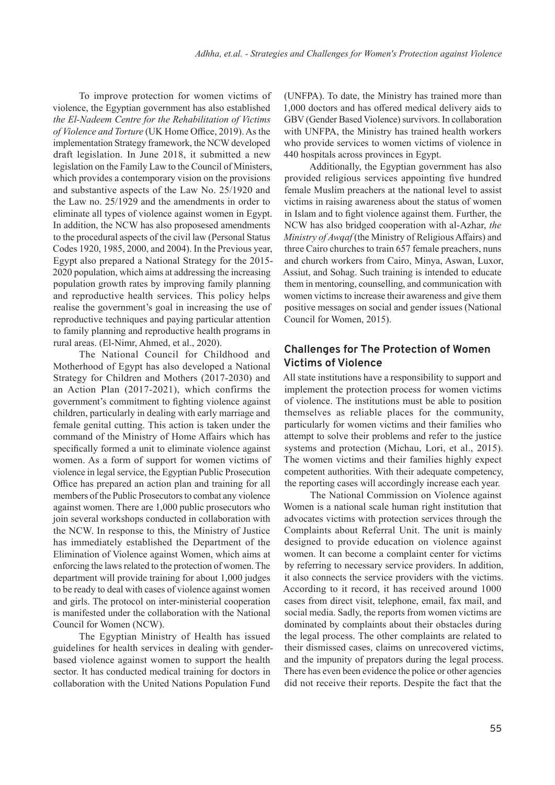To improve protection for women victims of violence, the Egyptian government has also established *the El-Nadeem Centre for the Rehabilitation of Victims of Violence and Torture* (UK Home Office, 2019). As the implementation Strategy framework, the NCW developed draft legislation. In June 2018, it submitted a new legislation on the Family Law to the Council of Ministers, which provides a contemporary vision on the provisions and substantive aspects of the Law No. 25/1920 and the Law no. 25/1929 and the amendments in order to eliminate all types of violence against women in Egypt. In addition, the NCW has also proposesed amendments to the procedural aspects of the civil law (Personal Status Codes 1920, 1985, 2000, and 2004). In the Previous year, Egypt also prepared a National Strategy for the 2015- 2020 population, which aims at addressing the increasing population growth rates by improving family planning and reproductive health services. This policy helps realise the government's goal in increasing the use of reproductive techniques and paying particular attention to family planning and reproductive health programs in rural areas. (El-Nimr, Ahmed, et al., 2020).

The National Council for Childhood and Motherhood of Egypt has also developed a National Strategy for Children and Mothers (2017-2030) and an Action Plan (2017-2021), which confirms the government's commitment to fighting violence against children, particularly in dealing with early marriage and female genital cutting. This action is taken under the command of the Ministry of Home Affairs which has specifically formed a unit to eliminate violence against women. As a form of support for women victims of violence in legal service, the Egyptian Public Prosecution Office has prepared an action plan and training for all members of the Public Prosecutors to combat any violence against women. There are 1,000 public prosecutors who join several workshops conducted in collaboration with the NCW. In response to this, the Ministry of Justice has immediately established the Department of the Elimination of Violence against Women, which aims at enforcing the laws related to the protection of women. The department will provide training for about 1,000 judges to be ready to deal with cases of violence against women and girls. The protocol on inter-ministerial cooperation is manifested under the collaboration with the National Council for Women (NCW).

The Egyptian Ministry of Health has issued guidelines for health services in dealing with genderbased violence against women to support the health sector. It has conducted medical training for doctors in collaboration with the United Nations Population Fund

(UNFPA). To date, the Ministry has trained more than 1,000 doctors and has offered medical delivery aids to GBV (Gender Based Violence) survivors. In collaboration with UNFPA, the Ministry has trained health workers who provide services to women victims of violence in 440 hospitals across provinces in Egypt.

Additionally, the Egyptian government has also provided religious services appointing five hundred female Muslim preachers at the national level to assist victims in raising awareness about the status of women in Islam and to fight violence against them. Further, the NCW has also bridged cooperation with al-Azhar, *the Ministry of Awqaf* (the Ministry of Religious Affairs) and three Cairo churches to train 657 female preachers, nuns and church workers from Cairo, Minya, Aswan, Luxor, Assiut, and Sohag. Such training is intended to educate them in mentoring, counselling, and communication with women victims to increase their awareness and give them positive messages on social and gender issues (National Council for Women, 2015).

## **Challenges for The Protection of Women Victims of Violence**

All state institutions have a responsibility to support and implement the protection process for women victims of violence. The institutions must be able to position themselves as reliable places for the community, particularly for women victims and their families who attempt to solve their problems and refer to the justice systems and protection (Michau, Lori, et al., 2015). The women victims and their families highly expect competent authorities. With their adequate competency, the reporting cases will accordingly increase each year.

The National Commission on Violence against Women is a national scale human right institution that advocates victims with protection services through the Complaints about Referral Unit. The unit is mainly designed to provide education on violence against women. It can become a complaint center for victims by referring to necessary service providers. In addition, it also connects the service providers with the victims. According to it record, it has received around 1000 cases from direct visit, telephone, email, fax mail, and social media. Sadly, the reports from women victims are dominated by complaints about their obstacles during the legal process. The other complaints are related to their dismissed cases, claims on unrecovered victims, and the impunity of prepators during the legal process. There has even been evidence the police or other agencies did not receive their reports. Despite the fact that the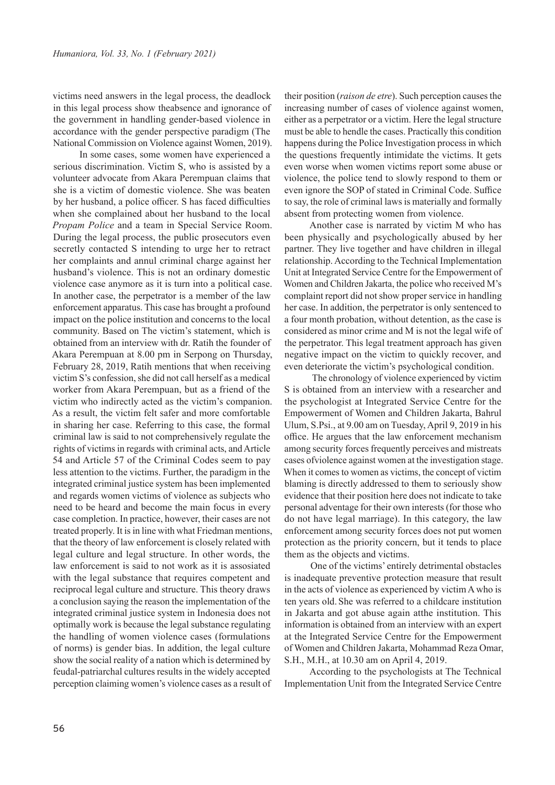victims need answers in the legal process, the deadlock in this legal process show theabsence and ignorance of the government in handling gender-based violence in accordance with the gender perspective paradigm (The National Commission on Violence against Women, 2019).

In some cases, some women have experienced a serious discrimination. Victim S, who is assisted by a volunteer advocate from Akara Perempuan claims that she is a victim of domestic violence. She was beaten by her husband, a police officer. S has faced difficulties when she complained about her husband to the local *Propam Police* and a team in Special Service Room. During the legal process, the public prosecutors even secretly contacted S intending to urge her to retract her complaints and annul criminal charge against her husband's violence. This is not an ordinary domestic violence case anymore as it is turn into a political case. In another case, the perpetrator is a member of the law enforcement apparatus. This case has brought a profound impact on the police institution and concerns to the local community. Based on The victim's statement, which is obtained from an interview with dr. Ratih the founder of Akara Perempuan at 8.00 pm in Serpong on Thursday, February 28, 2019, Ratih mentions that when receiving victim S's confession, she did not call herself as a medical worker from Akara Perempuan, but as a friend of the victim who indirectly acted as the victim's companion. As a result, the victim felt safer and more comfortable in sharing her case. Referring to this case, the formal criminal law is said to not comprehensively regulate the rights of victims in regards with criminal acts, and Article 54 and Article 57 of the Criminal Codes seem to pay less attention to the victims. Further, the paradigm in the integrated criminal justice system has been implemented and regards women victims of violence as subjects who need to be heard and become the main focus in every case completion. In practice, however, their cases are not treated properly. It is in line with what Friedman mentions, that the theory of law enforcement is closely related with legal culture and legal structure. In other words, the law enforcement is said to not work as it is assosiated with the legal substance that requires competent and reciprocal legal culture and structure. This theory draws a conclusion saying the reason the implementation of the integrated criminal justice system in Indonesia does not optimally work is because the legal substance regulating the handling of women violence cases (formulations of norms) is gender bias. In addition, the legal culture show the social reality of a nation which is determined by feudal-patriarchal cultures results in the widely accepted perception claiming women's violence cases as a result of

their position (*raison de etre*). Such perception causes the increasing number of cases of violence against women, either as a perpetrator or a victim. Here the legal structure must be able to hendle the cases. Practically this condition happens during the Police Investigation process in which the questions frequently intimidate the victims. It gets even worse when women victims report some abuse or violence, the police tend to slowly respond to them or even ignore the SOP of stated in Criminal Code. Suffice to say, the role of criminal laws is materially and formally absent from protecting women from violence.

Another case is narrated by victim M who has been physically and psychologically abused by her partner. They live together and have children in illegal relationship. According to the Technical Implementation Unit at Integrated Service Centre for the Empowerment of Women and Children Jakarta, the police who received M's complaint report did not show proper service in handling her case. In addition, the perpetrator is only sentenced to a four month probation, without detention, as the case is considered as minor crime and M is not the legal wife of the perpetrator. This legal treatment approach has given negative impact on the victim to quickly recover, and even deteriorate the victim's psychological condition.

 The chronology of violence experienced by victim S is obtained from an interview with a researcher and the psychologist at Integrated Service Centre for the Empowerment of Women and Children Jakarta, Bahrul Ulum, S.Psi., at 9.00 am on Tuesday, April 9, 2019 in his office. He argues that the law enforcement mechanism among security forces frequently perceives and mistreats cases ofviolence against women at the investigation stage. When it comes to women as victims, the concept of victim blaming is directly addressed to them to seriously show evidence that their position here does not indicate to take personal adventage for their own interests (for those who do not have legal marriage). In this category, the law enforcement among security forces does not put women protection as the priority concern, but it tends to place them as the objects and victims.

One of the victims' entirely detrimental obstacles is inadequate preventive protection measure that result in the acts of violence as experienced by victim A who is ten years old. She was referred to a childcare institution in Jakarta and got abuse again atthe institution. This information is obtained from an interview with an expert at the Integrated Service Centre for the Empowerment of Women and Children Jakarta, Mohammad Reza Omar, S.H., M.H., at 10.30 am on April 4, 2019.

According to the psychologists at The Technical Implementation Unit from the Integrated Service Centre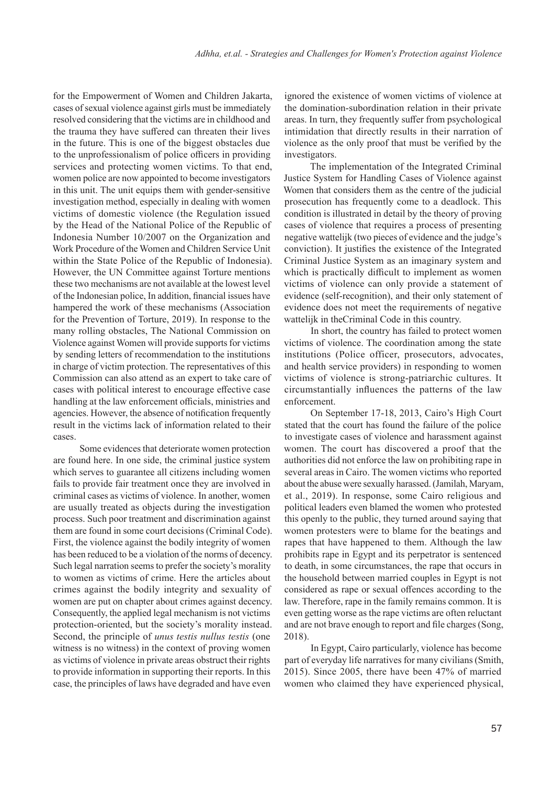for the Empowerment of Women and Children Jakarta, cases of sexual violence against girls must be immediately resolved considering that the victims are in childhood and the trauma they have suffered can threaten their lives in the future. This is one of the biggest obstacles due to the unprofessionalism of police officers in providing services and protecting women victims. To that end, women police are now appointed to become investigators in this unit. The unit equips them with gender-sensitive investigation method, especially in dealing with women victims of domestic violence (the Regulation issued by the Head of the National Police of the Republic of Indonesia Number 10/2007 on the Organization and Work Procedure of the Women and Children Service Unit within the State Police of the Republic of Indonesia). However, the UN Committee against Torture mentions these two mechanisms are not available at the lowest level of the Indonesian police, In addition, financial issues have hampered the work of these mechanisms (Association for the Prevention of Torture, 2019). In response to the many rolling obstacles, The National Commission on Violence against Women will provide supports for victims by sending letters of recommendation to the institutions in charge of victim protection. The representatives of this Commission can also attend as an expert to take care of cases with political interest to encourage effective case handling at the law enforcement officials, ministries and agencies. However, the absence of notification frequently result in the victims lack of information related to their cases.

Some evidences that deteriorate women protection are found here. In one side, the criminal justice system which serves to guarantee all citizens including women fails to provide fair treatment once they are involved in criminal cases as victims of violence. In another, women are usually treated as objects during the investigation process. Such poor treatment and discrimination against them are found in some court decisions (Criminal Code). First, the violence against the bodily integrity of women has been reduced to be a violation of the norms of decency. Such legal narration seems to prefer the society's morality to women as victims of crime. Here the articles about crimes against the bodily integrity and sexuality of women are put on chapter about crimes against decency. Consequently, the applied legal mechanism is not victims protection-oriented, but the society's morality instead. Second, the principle of *unus testis nullus testis* (one witness is no witness) in the context of proving women as victims of violence in private areas obstruct their rights to provide information in supporting their reports. In this case, the principles of laws have degraded and have even

ignored the existence of women victims of violence at the domination-subordination relation in their private areas. In turn, they frequently suffer from psychological intimidation that directly results in their narration of violence as the only proof that must be verified by the investigators.

The implementation of the Integrated Criminal Justice System for Handling Cases of Violence against Women that considers them as the centre of the judicial prosecution has frequently come to a deadlock. This condition is illustrated in detail by the theory of proving cases of violence that requires a process of presenting negative wattelijk (two pieces of evidence and the judge's conviction). It justifies the existence of the Integrated Criminal Justice System as an imaginary system and which is practically difficult to implement as women victims of violence can only provide a statement of evidence (self-recognition), and their only statement of evidence does not meet the requirements of negative wattelijk in theCriminal Code in this country.

In short, the country has failed to protect women victims of violence. The coordination among the state institutions (Police officer, prosecutors, advocates, and health service providers) in responding to women victims of violence is strong-patriarchic cultures. It circumstantially influences the patterns of the law enforcement.

On September 17-18, 2013, Cairo's High Court stated that the court has found the failure of the police to investigate cases of violence and harassment against women. The court has discovered a proof that the authorities did not enforce the law on prohibiting rape in several areas in Cairo. The women victims who reported about the abuse were sexually harassed. (Jamilah, Maryam, et al., 2019). In response, some Cairo religious and political leaders even blamed the women who protested this openly to the public, they turned around saying that women protesters were to blame for the beatings and rapes that have happened to them. Although the law prohibits rape in Egypt and its perpetrator is sentenced to death, in some circumstances, the rape that occurs in the household between married couples in Egypt is not considered as rape or sexual offences according to the law. Therefore, rape in the family remains common. It is even getting worse as the rape victims are often reluctant and are not brave enough to report and file charges (Song, 2018).

In Egypt, Cairo particularly, violence has become part of everyday life narratives for many civilians (Smith, 2015). Since 2005, there have been 47% of married women who claimed they have experienced physical,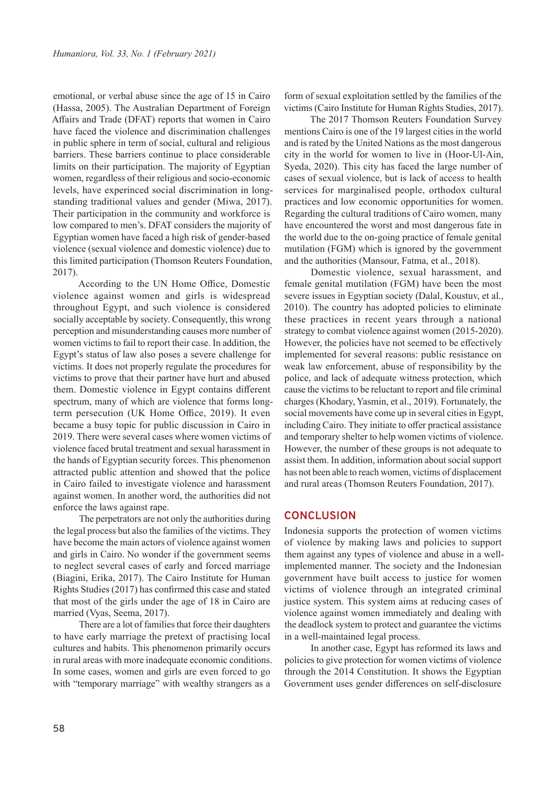emotional, or verbal abuse since the age of 15 in Cairo (Hassa, 2005). The Australian Department of Foreign Affairs and Trade (DFAT) reports that women in Cairo have faced the violence and discrimination challenges in public sphere in term of social, cultural and religious barriers. These barriers continue to place considerable limits on their participation. The majority of Egyptian women, regardless of their religious and socio-economic levels, have experinced social discrimination in longstanding traditional values and gender (Miwa, 2017). Their participation in the community and workforce is low compared to men's. DFAT considers the majority of Egyptian women have faced a high risk of gender-based violence (sexual violence and domestic violence) due to this limited participation (Thomson Reuters Foundation, 2017).

According to the UN Home Office, Domestic violence against women and girls is widespread throughout Egypt, and such violence is considered socially acceptable by society. Consequently, this wrong perception and misunderstanding causes more number of women victims to fail to report their case. In addition, the Egypt's status of law also poses a severe challenge for victims. It does not properly regulate the procedures for victims to prove that their partner have hurt and abused them. Domestic violence in Egypt contains different spectrum, many of which are violence that forms longterm persecution (UK Home Office, 2019). It even became a busy topic for public discussion in Cairo in 2019. There were several cases where women victims of violence faced brutal treatment and sexual harassment in the hands of Egyptian security forces. This phenomenon attracted public attention and showed that the police in Cairo failed to investigate violence and harassment against women. In another word, the authorities did not enforce the laws against rape.

The perpetrators are not only the authorities during the legal process but also the families of the victims. They have become the main actors of violence against women and girls in Cairo. No wonder if the government seems to neglect several cases of early and forced marriage (Biagini, Erika, 2017). The Cairo Institute for Human Rights Studies (2017) has confirmed this case and stated that most of the girls under the age of 18 in Cairo are married (Vyas, Seema, 2017).

There are a lot of families that force their daughters to have early marriage the pretext of practising local cultures and habits. This phenomenon primarily occurs in rural areas with more inadequate economic conditions. In some cases, women and girls are even forced to go with "temporary marriage" with wealthy strangers as a form of sexual exploitation settled by the families of the victims (Cairo Institute for Human Rights Studies, 2017).

The 2017 Thomson Reuters Foundation Survey mentions Cairo is one of the 19 largest cities in the world and is rated by the United Nations as the most dangerous city in the world for women to live in (Hoor-Ul-Ain, Syeda, 2020). This city has faced the large number of cases of sexual violence, but is lack of access to health services for marginalised people, orthodox cultural practices and low economic opportunities for women. Regarding the cultural traditions of Cairo women, many have encountered the worst and most dangerous fate in the world due to the on-going practice of female genital mutilation (FGM) which is ignored by the government and the authorities (Mansour, Fatma, et al., 2018).

Domestic violence, sexual harassment, and female genital mutilation (FGM) have been the most severe issues in Egyptian society (Dalal, Koustuv, et al., 2010). The country has adopted policies to eliminate these practices in recent years through a national strategy to combat violence against women (2015-2020). However, the policies have not seemed to be effectively implemented for several reasons: public resistance on weak law enforcement, abuse of responsibility by the police, and lack of adequate witness protection, which cause the victims to be reluctant to report and file criminal charges (Khodary, Yasmin, et al., 2019). Fortunately, the social movements have come up in several cities in Egypt, including Cairo. They initiate to offer practical assistance and temporary shelter to help women victims of violence. However, the number of these groups is not adequate to assist them. In addition, information about social support has not been able to reach women, victims of displacement and rural areas (Thomson Reuters Foundation, 2017).

#### **CONCLUSION**

Indonesia supports the protection of women victims of violence by making laws and policies to support them against any types of violence and abuse in a wellimplemented manner. The society and the Indonesian government have built access to justice for women victims of violence through an integrated criminal justice system. This system aims at reducing cases of violence against women immediately and dealing with the deadlock system to protect and guarantee the victims in a well-maintained legal process.

In another case, Egypt has reformed its laws and policies to give protection for women victims of violence through the 2014 Constitution. It shows the Egyptian Government uses gender differences on self-disclosure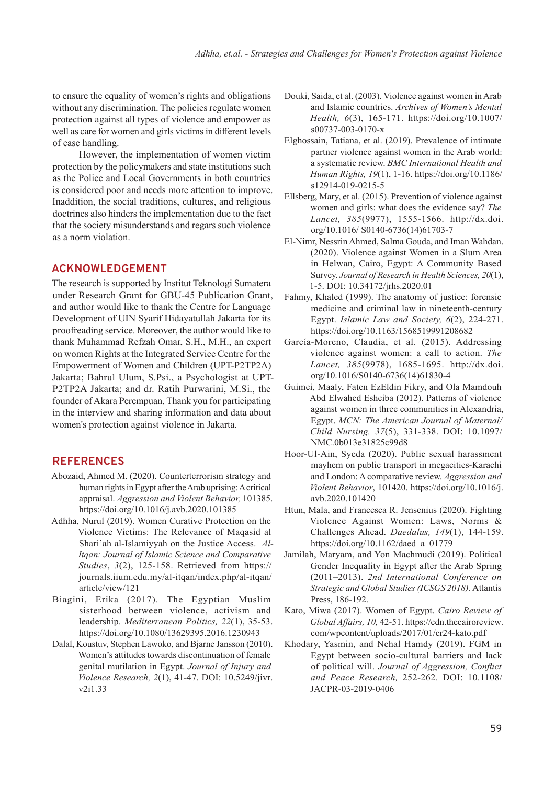to ensure the equality of women's rights and obligations without any discrimination. The policies regulate women protection against all types of violence and empower as well as care for women and girls victims in different levels of case handling.

However, the implementation of women victim protection by the policymakers and state institutions such as the Police and Local Governments in both countries is considered poor and needs more attention to improve. Inaddition, the social traditions, cultures, and religious doctrines also hinders the implementation due to the fact that the society misunderstands and regars such violence as a norm violation.

### **ACKNOWLEDGEMENT**

The research is supported by Institut Teknologi Sumatera under Research Grant for GBU-45 Publication Grant, and author would like to thank the Centre for Language Development of UIN Syarif Hidayatullah Jakarta for its proofreading service. Moreover, the author would like to thank Muhammad Refzah Omar, S.H., M.H., an expert on women Rights at the Integrated Service Centre for the Empowerment of Women and Children (UPT-P2TP2A) Jakarta; Bahrul Ulum, S.Psi., a Psychologist at UPT-P2TP2A Jakarta; and dr. Ratih Purwarini, M.Si., the founder of Akara Perempuan. Thank you for participating in the interview and sharing information and data about women's protection against violence in Jakarta.

## **REFERENCES**

- Abozaid, Ahmed M. (2020). Counterterrorism strategy and human rights in Egypt after the Arab uprising: A critical appraisal. *Aggression and Violent Behavior,* 101385. https://doi.org/10.1016/j.avb.2020.101385
- Adhha, Nurul (2019). Women Curative Protection on the Violence Victims: The Relevance of Maqasid al Shari'ah al-Islamiyyah on the Justice Access. *Al-Itqan: Journal of Islamic Science and Comparative Studies*, *3*(2), 125-158. Retrieved from https:// journals.iium.edu.my/al-itqan/index.php/al-itqan/ article/view/121
- Biagini, Erika (2017). The Egyptian Muslim sisterhood between violence, activism and leadership. *Mediterranean Politics, 22*(1), 35-53. https://doi.org/10.1080/13629395.2016.1230943
- Dalal, Koustuv, Stephen Lawoko, and Bjarne Jansson (2010). Women's attitudes towards discontinuation of female genital mutilation in Egypt. *Journal of Injury and Violence Research, 2*(1), 41-47. DOI: 10.5249/jivr. v2i1.33
- Douki, Saida, et al. (2003). Violence against women in Arab and Islamic countries. *Archives of Women's Mental Health, 6*(3), 165-171. https://doi.org/10.1007/ s00737-003-0170-x
- Elghossain, Tatiana, et al. (2019). Prevalence of intimate partner violence against women in the Arab world: a systematic review. *BMC International Health and Human Rights, 19*(1), 1-16. https://doi.org/10.1186/ s12914-019-0215-5
- Ellsberg, Mary, et al. (2015). Prevention of violence against women and girls: what does the evidence say? *The Lancet, 385*(9977), 1555-1566. http://dx.doi. org/10.1016/ S0140-6736(14)61703-7
- El-Nimr, Nessrin Ahmed, Salma Gouda, and Iman Wahdan. (2020). Violence against Women in a Slum Area in Helwan, Cairo, Egypt: A Community Based Survey. *Journal of Research in Health Sciences, 20*(1), 1-5. DOI: 10.34172/jrhs.2020.01
- Fahmy, Khaled (1999). The anatomy of justice: forensic medicine and criminal law in nineteenth-century Egypt. *Islamic Law and Society, 6*(2), 224-271. https://doi.org/10.1163/1568519991208682
- García-Moreno, Claudia, et al. (2015). Addressing violence against women: a call to action. *The Lancet, 385*(9978), 1685-1695. http://dx.doi. org/10.1016/S0140-6736(14)61830-4
- Guimei, Maaly, Faten EzEldin Fikry, and Ola Mamdouh Abd Elwahed Esheiba (2012). Patterns of violence against women in three communities in Alexandria, Egypt. *MCN: The American Journal of Maternal/ Child Nursing, 37*(5), 331-338. DOI: 10.1097/ NMC.0b013e31825c99d8
- Hoor-Ul-Ain, Syeda (2020). Public sexual harassment mayhem on public transport in megacities-Karachi and London: A comparative review. *Aggression and Violent Behavior*, 101420. https://doi.org/10.1016/j. avb.2020.101420
- Htun, Mala, and Francesca R. Jensenius (2020). Fighting Violence Against Women: Laws, Norms & Challenges Ahead. *Daedalus, 149*(1), 144-159. https://doi.org/10.1162/daed\_a\_01779
- Jamilah, Maryam, and Yon Machmudi (2019). Political Gender Inequality in Egypt after the Arab Spring (2011–2013). *2nd International Conference on Strategic and Global Studies (ICSGS 2018)*. Atlantis Press, 186-192.
- Kato, Miwa (2017). Women of Egypt. *Cairo Review of Global Affairs, 10,* 42-51. https://cdn.thecairoreview. com/wpcontent/uploads/2017/01/cr24-kato.pdf
- Khodary, Yasmin, and Nehal Hamdy (2019). FGM in Egypt between socio-cultural barriers and lack of political will. *Journal of Aggression, Conflict and Peace Research,* 252-262. DOI: 10.1108/ JACPR-03-2019-0406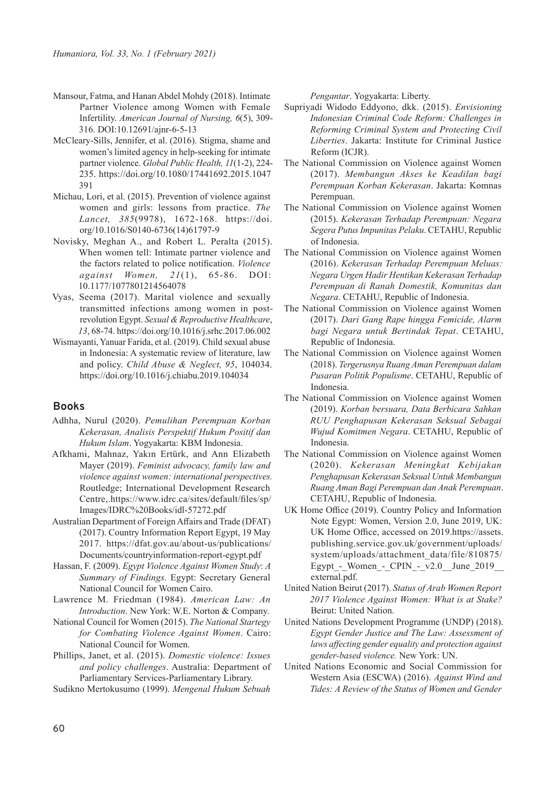- Mansour, Fatma, and Hanan Abdel Mohdy (2018). Intimate Partner Violence among Women with Female Infertility. *American Journal of Nursing, 6*(5), 309- 316. DOI:10.12691/ajnr-6-5-13
- McCleary-Sills, Jennifer, et al. (2016). Stigma, shame and women's limited agency in help-seeking for intimate partner violence. *Global Public Health, 11*(1-2), 224- 235. https://doi.org/10.1080/17441692.2015.1047 391
- Michau, Lori, et al. (2015). Prevention of violence against women and girls: lessons from practice. *The Lancet, 385*(9978), 1672-168. https://doi. org/10.1016/S0140-6736(14)61797-9
- Novisky, Meghan A., and Robert L. Peralta (2015). When women tell: Intimate partner violence and the factors related to police notification. *Violence against Women, 21*(1), 65-86. DOI: 10.1177/1077801214564078
- Vyas, Seema (2017). Marital violence and sexually transmitted infections among women in postrevolution Egypt. *Sexual & Reproductive Healthcare*, *13*, 68-74. https://doi.org/10.1016/j.srhc.2017.06.002
- Wismayanti, Yanuar Farida, et al. (2019). Child sexual abuse in Indonesia: A systematic review of literature, law and policy. *Child Abuse & Neglect, 95*, 104034. https://doi.org/10.1016/j.chiabu.2019.104034

#### **Books**

- Adhha, Nurul (2020). *Pemulihan Perempuan Korban Kekerasan, Analisis Perspektif Hukum Positif dan Hukum Islam*. Yogyakarta: KBM Indonesia.
- Afkhami, Mahnaz, Yakın Ertürk, and Ann Elizabeth Mayer (2019). *Feminist advocacy, family law and violence against women: international perspectives.* Routledge; International Development Research Centre,.https://www.idrc.ca/sites/default/files/sp/ Images/IDRC%20Books/idl-57272.pdf
- Australian Department of Foreign Affairs and Trade (DFAT) (2017). Country Information Report Egypt, 19 May 2017. https://dfat.gov.au/about-us/publications/ Documents/countryinformation-report-egypt.pdf
- Hassan, F. (2009). *Egypt Violence Against Women Study*: *A Summary of Findings.* Egypt: Secretary General National Council for Women Cairo.
- Lawrence M. Friedman (1984). *American Law: An Introduction*. New York: W.E. Norton & Company.
- National Council for Women (2015). *The National Startegy for Combating Violence Against Women*. Cairo: National Council for Women.
- Phillips, Janet, et al. (2015). *Domestic violence: Issues and policy challenges*. Australia: Department of Parliamentary Services-Parliamentary Library.

Sudikno Mertokusumo (1999). *Mengenal Hukum Sebuah* 

*Pengantar*. Yogyakarta: Liberty.

- Supriyadi Widodo Eddyono, dkk. (2015). *Envisioning Indonesian Criminal Code Reform: Challenges in Reforming Criminal System and Protecting Civil Liberties*. Jakarta: Institute for Criminal Justice Reform (ICJR).
- The National Commission on Violence against Women (2017). *Membangun Akses ke Keadilan bagi Perempuan Korban Kekerasan*. Jakarta: Komnas Perempuan.
- The National Commission on Violence against Women (2015). *Kekerasan Terhadap Perempuan: Negara Segera Putus Impunitas Pelaku*. CETAHU, Republic of Indonesia.
- The National Commission on Violence against Women (2016). *Kekerasan Terhadap Perempuan Meluas: Negara Urgen Hadir Hentikan Kekerasan Terhadap Perempuan di Ranah Domestik, Komunitas dan Negara*. CETAHU, Republic of Indonesia.
- The National Commission on Violence against Women (2017). *Dari Gang Rape hingga Femicide, Alarm bagi Negara untuk Bertindak Tepat*. CETAHU, Republic of Indonesia.
- The National Commission on Violence against Women (2018). *Tergerusnya Ruang Aman Perempuan dalam Pusaran Politik Populisme*. CETAHU, Republic of Indonesia.
- The National Commission on Violence against Women (2019). *Korban bersuara, Data Berbicara Sahkan RUU Penghapusan Kekerasan Seksual Sebagai Wujud Komitmen Negara*. CETAHU, Republic of Indonesia.
- The National Commission on Violence against Women (2020). *Kekerasan Meningkat Kebijakan Penghapusan Kekerasan Seksual Untuk Membangun Ruang Aman Bagi Perempuan dan Anak Perempuan*. CETAHU, Republic of Indonesia.
- UK Home Office (2019). Country Policy and Information Note Egypt: Women, Version 2.0, June 2019, UK: UK Home Office, accessed on 2019.https://assets. publishing.service.gov.uk/government/uploads/ system/uploads/attachment\_data/file/810875/ Egypt - Women - CPIN - v2.0 June 2019 external.pdf.
- United Nation Beirut (2017). *Status of Arab Women Report 2017 Violence Against Women: What is at Stake?* Beirut: United Nation.
- United Nations Development Programme (UNDP) (2018). *Egypt Gender Justice and The Law: Assessment of laws affecting gender equality and protection against gender-based violence.* New York: UN.
- United Nations Economic and Social Commission for Western Asia (ESCWA) (2016). *Against Wind and Tides: A Review of the Status of Women and Gender*